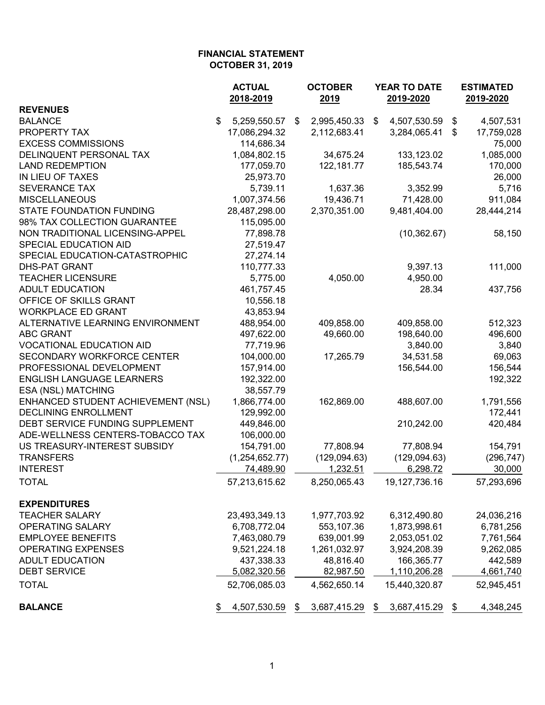|                                    | <b>ACTUAL</b><br>2018-2019 | <b>OCTOBER</b><br>2019 |                           | YEAR TO DATE<br>2019-2020 |    | <b>ESTIMATED</b><br>2019-2020 |
|------------------------------------|----------------------------|------------------------|---------------------------|---------------------------|----|-------------------------------|
| <b>REVENUES</b>                    |                            |                        |                           |                           |    |                               |
| <b>BALANCE</b>                     | \$<br>5,259,550.57         | \$<br>2,995,450.33     | $\boldsymbol{\mathsf{S}}$ | 4,507,530.59              | \$ | 4,507,531                     |
| PROPERTY TAX                       | 17,086,294.32              | 2,112,683.41           |                           | 3,284,065.41              | \$ | 17,759,028                    |
| <b>EXCESS COMMISSIONS</b>          | 114,686.34                 |                        |                           |                           |    | 75,000                        |
| DELINQUENT PERSONAL TAX            | 1,084,802.15               | 34,675.24              |                           | 133,123.02                |    | 1,085,000                     |
| <b>LAND REDEMPTION</b>             | 177,059.70                 | 122, 181.77            |                           | 185,543.74                |    | 170,000                       |
| IN LIEU OF TAXES                   | 25,973.70                  |                        |                           |                           |    | 26,000                        |
| <b>SEVERANCE TAX</b>               | 5,739.11                   | 1,637.36               |                           | 3,352.99                  |    | 5,716                         |
| <b>MISCELLANEOUS</b>               | 1,007,374.56               | 19,436.71              |                           | 71,428.00                 |    | 911,084                       |
| <b>STATE FOUNDATION FUNDING</b>    | 28,487,298.00              | 2,370,351.00           |                           | 9,481,404.00              |    | 28,444,214                    |
| 98% TAX COLLECTION GUARANTEE       | 115,095.00                 |                        |                           |                           |    |                               |
| NON TRADITIONAL LICENSING-APPEL    | 77,898.78                  |                        |                           | (10, 362.67)              |    | 58,150                        |
| SPECIAL EDUCATION AID              | 27,519.47                  |                        |                           |                           |    |                               |
| SPECIAL EDUCATION-CATASTROPHIC     | 27,274.14                  |                        |                           |                           |    |                               |
| <b>DHS-PAT GRANT</b>               | 110,777.33                 |                        |                           | 9,397.13                  |    | 111,000                       |
| <b>TEACHER LICENSURE</b>           | 5,775.00                   | 4,050.00               |                           | 4,950.00                  |    |                               |
| <b>ADULT EDUCATION</b>             | 461,757.45                 |                        |                           | 28.34                     |    | 437,756                       |
| OFFICE OF SKILLS GRANT             | 10,556.18                  |                        |                           |                           |    |                               |
| <b>WORKPLACE ED GRANT</b>          | 43,853.94                  |                        |                           |                           |    |                               |
| ALTERNATIVE LEARNING ENVIRONMENT   | 488,954.00                 | 409,858.00             |                           | 409,858.00                |    | 512,323                       |
| <b>ABC GRANT</b>                   | 497,622.00                 | 49,660.00              |                           | 198,640.00                |    | 496,600                       |
| <b>VOCATIONAL EDUCATION AID</b>    | 77,719.96                  |                        |                           | 3,840.00                  |    | 3,840                         |
| SECONDARY WORKFORCE CENTER         | 104,000.00                 | 17,265.79              |                           | 34,531.58                 |    | 69,063                        |
| PROFESSIONAL DEVELOPMENT           | 157,914.00                 |                        |                           | 156,544.00                |    | 156,544                       |
| <b>ENGLISH LANGUAGE LEARNERS</b>   | 192,322.00                 |                        |                           |                           |    | 192,322                       |
| ESA (NSL) MATCHING                 | 38,557.79                  |                        |                           |                           |    |                               |
| ENHANCED STUDENT ACHIEVEMENT (NSL) | 1,866,774.00               | 162,869.00             |                           | 488,607.00                |    | 1,791,556                     |
| <b>DECLINING ENROLLMENT</b>        | 129,992.00                 |                        |                           |                           |    |                               |
| DEBT SERVICE FUNDING SUPPLEMENT    | 449,846.00                 |                        |                           | 210,242.00                |    | 172,441<br>420,484            |
|                                    | 106,000.00                 |                        |                           |                           |    |                               |
| ADE-WELLNESS CENTERS-TOBACCO TAX   |                            |                        |                           | 77,808.94                 |    |                               |
| US TREASURY-INTEREST SUBSIDY       | 154,791.00                 | 77,808.94              |                           |                           |    | 154,791                       |
| <b>TRANSFERS</b>                   | (1,254,652.77)             | (129,094.63)           |                           | (129,094.63)              |    | (296, 747)                    |
| <b>INTEREST</b>                    | 74,489.90                  | 1,232.51               |                           | 6,298.72                  |    | 30,000                        |
| <b>TOTAL</b>                       | 57,213,615.62              | 8,250,065.43           |                           | 19,127,736.16             |    | 57,293,696                    |
| <b>EXPENDITURES</b>                |                            |                        |                           |                           |    |                               |
| <b>TEACHER SALARY</b>              | 23,493,349.13              | 1,977,703.92           |                           | 6,312,490.80              |    | 24,036,216                    |
| OPERATING SALARY                   | 6,708,772.04               | 553,107.36             |                           | 1,873,998.61              |    | 6,781,256                     |
| <b>EMPLOYEE BENEFITS</b>           | 7,463,080.79               | 639,001.99             |                           | 2,053,051.02              |    | 7,761,564                     |
| <b>OPERATING EXPENSES</b>          | 9,521,224.18               | 1,261,032.97           |                           | 3,924,208.39              |    | 9,262,085                     |
| <b>ADULT EDUCATION</b>             | 437,338.33                 | 48,816.40              |                           | 166,365.77                |    | 442,589                       |
| <b>DEBT SERVICE</b>                | 5,082,320.56               | 82,987.50              |                           | 1,110,206.28              |    | 4,661,740                     |
| <b>TOTAL</b>                       | 52,706,085.03              | 4,562,650.14           |                           | 15,440,320.87             |    | 52,945,451                    |
| <b>BALANCE</b>                     | 4,507,530.59<br>\$         | \$<br>3,687,415.29     | \$                        | 3,687,415.29 \$           |    | 4,348,245                     |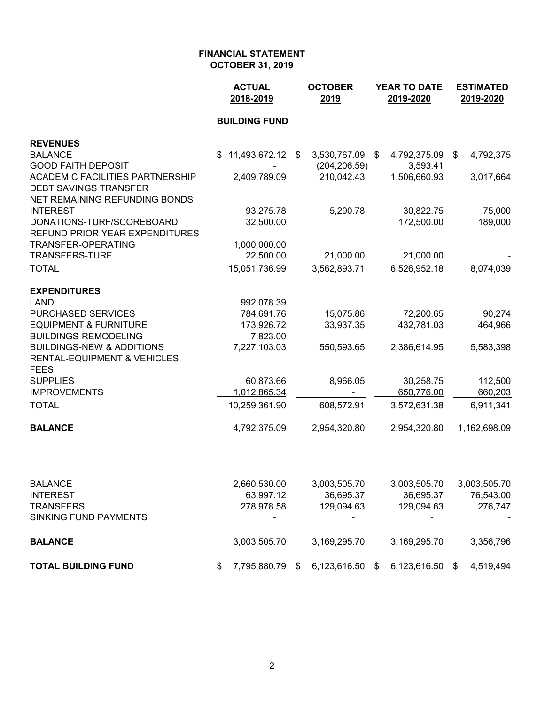|                                                                        | <b>ACTUAL</b><br>2018-2019 |  | <b>OCTOBER</b><br>2019 |    | <b>YEAR TO DATE</b><br>2019-2020 | <b>ESTIMATED</b><br>2019-2020 |              |
|------------------------------------------------------------------------|----------------------------|--|------------------------|----|----------------------------------|-------------------------------|--------------|
|                                                                        | <b>BUILDING FUND</b>       |  |                        |    |                                  |                               |              |
| <b>REVENUES</b>                                                        |                            |  |                        |    |                                  |                               |              |
| <b>BALANCE</b>                                                         | 11,493,672.12 \$<br>\$     |  | 3,530,767.09           | \$ | 4,792,375.09                     | \$                            | 4,792,375    |
| <b>GOOD FAITH DEPOSIT</b>                                              |                            |  | (204, 206.59)          |    | 3,593.41                         |                               |              |
| <b>ACADEMIC FACILITIES PARTNERSHIP</b><br><b>DEBT SAVINGS TRANSFER</b> | 2,409,789.09               |  | 210,042.43             |    | 1,506,660.93                     |                               | 3,017,664    |
| NET REMAINING REFUNDING BONDS                                          |                            |  |                        |    |                                  |                               |              |
| <b>INTEREST</b>                                                        | 93,275.78                  |  | 5,290.78               |    | 30,822.75                        |                               | 75,000       |
| DONATIONS-TURF/SCOREBOARD<br>REFUND PRIOR YEAR EXPENDITURES            | 32,500.00                  |  |                        |    | 172,500.00                       |                               | 189,000      |
| TRANSFER-OPERATING                                                     | 1,000,000.00               |  |                        |    |                                  |                               |              |
| <b>TRANSFERS-TURF</b>                                                  | 22,500.00                  |  | 21,000.00              |    | 21,000.00                        |                               |              |
| <b>TOTAL</b>                                                           | 15,051,736.99              |  | 3,562,893.71           |    | 6,526,952.18                     |                               | 8,074,039    |
| <b>EXPENDITURES</b>                                                    |                            |  |                        |    |                                  |                               |              |
| <b>LAND</b>                                                            | 992,078.39                 |  |                        |    |                                  |                               |              |
| PURCHASED SERVICES                                                     | 784,691.76                 |  | 15,075.86              |    | 72,200.65                        |                               | 90,274       |
| <b>EQUIPMENT &amp; FURNITURE</b><br><b>BUILDINGS-REMODELING</b>        | 173,926.72<br>7,823.00     |  | 33,937.35              |    | 432,781.03                       |                               | 464,966      |
| <b>BUILDINGS-NEW &amp; ADDITIONS</b>                                   | 7,227,103.03               |  | 550,593.65             |    | 2,386,614.95                     |                               | 5,583,398    |
| <b>RENTAL-EQUIPMENT &amp; VEHICLES</b><br><b>FEES</b>                  |                            |  |                        |    |                                  |                               |              |
| <b>SUPPLIES</b>                                                        | 60,873.66                  |  | 8,966.05               |    | 30,258.75                        |                               | 112,500      |
| <b>IMPROVEMENTS</b>                                                    | 1,012,865.34               |  |                        |    | 650,776.00                       |                               | 660,203      |
| <b>TOTAL</b>                                                           | 10,259,361.90              |  | 608,572.91             |    | 3,572,631.38                     |                               | 6,911,341    |
| <b>BALANCE</b>                                                         | 4,792,375.09               |  | 2,954,320.80           |    | 2,954,320.80                     |                               | 1,162,698.09 |
|                                                                        |                            |  |                        |    |                                  |                               |              |
| <b>BALANCE</b>                                                         | 2,660,530.00               |  | 3,003,505.70           |    | 3,003,505.70                     |                               | 3,003,505.70 |
| <b>INTEREST</b>                                                        | 63,997.12                  |  | 36,695.37              |    | 36,695.37                        |                               | 76,543.00    |
| <b>TRANSFERS</b>                                                       | 278,978.58                 |  | 129,094.63             |    | 129,094.63                       |                               | 276,747      |
| <b>SINKING FUND PAYMENTS</b>                                           |                            |  |                        |    |                                  |                               |              |
| <b>BALANCE</b>                                                         | 3,003,505.70               |  | 3,169,295.70           |    | 3,169,295.70                     |                               | 3,356,796    |

**TOTAL BUILDING FUND**  $\frac{$}{5}$  7,795,880.79  $\frac{$}{5}$  6,123,616.50  $\frac{$}{5}$  6,123,616.50  $\frac{$}{5}$  4,519,494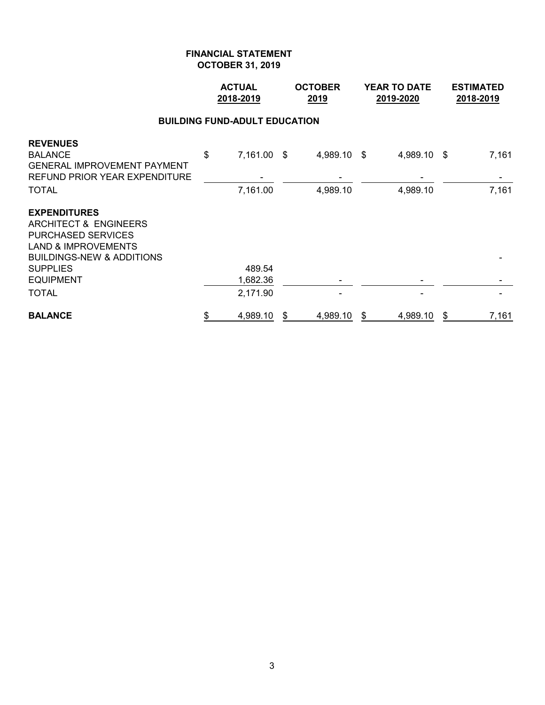|                                                                                                                                                                                            | <b>ACTUAL</b><br>2018-2019 |                                      | <b>OCTOBER</b><br>2019  |    | <b>YEAR TO DATE</b><br>2019-2020 | <b>ESTIMATED</b><br>2018-2019 |
|--------------------------------------------------------------------------------------------------------------------------------------------------------------------------------------------|----------------------------|--------------------------------------|-------------------------|----|----------------------------------|-------------------------------|
|                                                                                                                                                                                            |                            | <b>BUILDING FUND-ADULT EDUCATION</b> |                         |    |                                  |                               |
| <b>REVENUES</b><br><b>BALANCE</b><br><b>GENERAL IMPROVEMENT PAYMENT</b><br><b>REFUND PRIOR YEAR EXPENDITURE</b><br><b>TOTAL</b>                                                            | \$                         | 7,161.00 \$<br>7,161.00              | 4,989.10 \$<br>4,989.10 |    | 4,989.10 \$<br>4,989.10          | 7,161<br>7,161                |
| <b>EXPENDITURES</b><br>ARCHITECT & ENGINEERS<br><b>PURCHASED SERVICES</b><br><b>LAND &amp; IMPROVEMENTS</b><br><b>BUILDINGS-NEW &amp; ADDITIONS</b><br><b>SUPPLIES</b><br><b>EQUIPMENT</b> |                            | 489.54<br>1,682.36                   |                         |    |                                  |                               |
| <b>TOTAL</b>                                                                                                                                                                               |                            | 2,171.90                             |                         |    |                                  |                               |
| <b>BALANCE</b>                                                                                                                                                                             | \$                         | 4,989.10                             | \$<br>4,989.10          | \$ | 4,989.10                         | \$<br>7,161                   |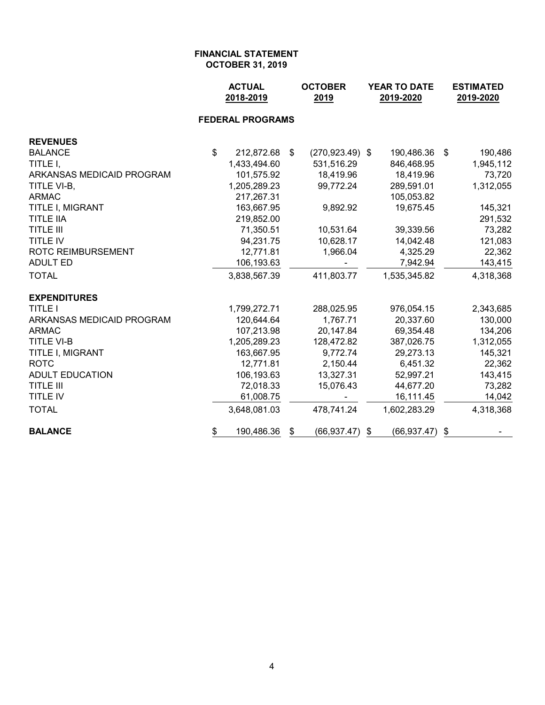|                           | <b>ACTUAL</b><br>2018-2019 |                         | <b>OCTOBER</b><br>2019   | YEAR TO DATE<br>2019-2020 | <b>ESTIMATED</b><br>2019-2020 |  |
|---------------------------|----------------------------|-------------------------|--------------------------|---------------------------|-------------------------------|--|
|                           |                            | <b>FEDERAL PROGRAMS</b> |                          |                           |                               |  |
| <b>REVENUES</b>           |                            |                         |                          |                           |                               |  |
| <b>BALANCE</b>            | \$                         | 212,872.68              | \$<br>$(270, 923.49)$ \$ | 190,486.36                | \$<br>190,486                 |  |
| TITLE I,                  |                            | 1,433,494.60            | 531,516.29               | 846,468.95                | 1,945,112                     |  |
| ARKANSAS MEDICAID PROGRAM |                            | 101,575.92              | 18,419.96                | 18,419.96                 | 73,720                        |  |
| TITLE VI-B,               |                            | 1,205,289.23            | 99,772.24                | 289,591.01                | 1,312,055                     |  |
| <b>ARMAC</b>              |                            | 217,267.31              |                          | 105,053.82                |                               |  |
| TITLE I, MIGRANT          |                            | 163,667.95              | 9,892.92                 | 19,675.45                 | 145,321                       |  |
| <b>TITLE IIA</b>          |                            | 219,852.00              |                          |                           | 291,532                       |  |
| <b>TITLE III</b>          |                            | 71,350.51               | 10,531.64                | 39,339.56                 | 73,282                        |  |
| <b>TITLE IV</b>           |                            | 94,231.75               | 10,628.17                | 14,042.48                 | 121,083                       |  |
| <b>ROTC REIMBURSEMENT</b> |                            | 12,771.81               | 1,966.04                 | 4,325.29                  | 22,362                        |  |
| <b>ADULT ED</b>           |                            | 106,193.63              |                          | 7,942.94                  | 143,415                       |  |
| <b>TOTAL</b>              |                            | 3,838,567.39            | 411,803.77               | 1,535,345.82              | 4,318,368                     |  |
| <b>EXPENDITURES</b>       |                            |                         |                          |                           |                               |  |
| <b>TITLE I</b>            |                            | 1,799,272.71            | 288,025.95               | 976,054.15                | 2,343,685                     |  |
| ARKANSAS MEDICAID PROGRAM |                            | 120,644.64              | 1,767.71                 | 20,337.60                 | 130,000                       |  |
| <b>ARMAC</b>              |                            | 107,213.98              | 20,147.84                | 69,354.48                 | 134,206                       |  |
| <b>TITLE VI-B</b>         |                            | 1,205,289.23            | 128,472.82               | 387,026.75                | 1,312,055                     |  |
| TITLE I, MIGRANT          |                            | 163,667.95              | 9,772.74                 | 29,273.13                 | 145,321                       |  |
| <b>ROTC</b>               |                            | 12,771.81               | 2,150.44                 | 6,451.32                  | 22,362                        |  |
| <b>ADULT EDUCATION</b>    |                            | 106,193.63              | 13,327.31                | 52,997.21                 | 143,415                       |  |
| <b>TITLE III</b>          |                            | 72,018.33               | 15,076.43                | 44,677.20                 | 73,282                        |  |
| TITLE IV                  |                            | 61,008.75               |                          | 16,111.45                 | 14,042                        |  |
| <b>TOTAL</b>              |                            | 3,648,081.03            | 478,741.24               | 1,602,283.29              | 4,318,368                     |  |
| <b>BALANCE</b>            | \$                         | 190,486.36              | \$<br>(66, 937.47)       | (66, 937.47)<br>\$        | \$                            |  |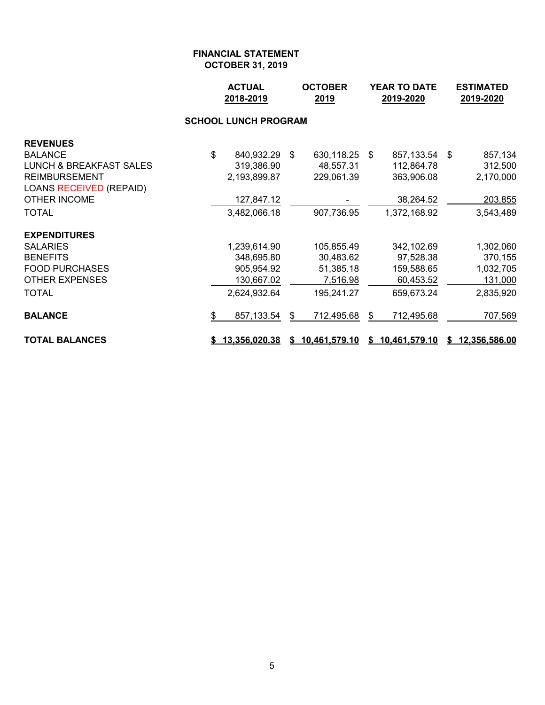|                                    | <b>ACTUAL</b><br>2018-2019<br>2019 |    | <b>OCTOBER</b>  | <b>YEAR TO DATE</b><br>2019-2020 |                 |  | <b>ESTIMATED</b><br>2019-2020 |
|------------------------------------|------------------------------------|----|-----------------|----------------------------------|-----------------|--|-------------------------------|
|                                    | <b>SCHOOL LUNCH PROGRAM</b>        |    |                 |                                  |                 |  |                               |
| <b>REVENUES</b>                    |                                    |    |                 |                                  |                 |  |                               |
| <b>BALANCE</b>                     | \$<br>840,932.29 \$                |    | 630,118.25      | - \$                             | 857,133.54 \$   |  | 857,134                       |
| <b>LUNCH &amp; BREAKFAST SALES</b> | 319,386.90                         |    | 48,557.31       |                                  | 112,864.78      |  | 312,500                       |
| <b>REIMBURSEMENT</b>               | 2,193,899.87                       |    | 229,061.39      |                                  | 363,906.08      |  | 2,170,000                     |
| <b>LOANS RECEIVED (REPAID)</b>     |                                    |    |                 |                                  |                 |  |                               |
| <b>OTHER INCOME</b>                | 127,847.12                         |    |                 |                                  | 38,264.52       |  | 203,855                       |
| <b>TOTAL</b>                       | 3,482,066.18                       |    | 907,736.95      |                                  | 1,372,168.92    |  | 3,543,489                     |
| <b>EXPENDITURES</b>                |                                    |    |                 |                                  |                 |  |                               |
| <b>SALARIES</b>                    | 1,239,614.90                       |    | 105,855.49      |                                  | 342,102.69      |  | 1,302,060                     |
| <b>BENEFITS</b>                    | 348,695.80                         |    | 30,483.62       |                                  | 97,528.38       |  | 370,155                       |
| <b>FOOD PURCHASES</b>              | 905,954.92                         |    | 51,385.18       |                                  | 159,588.65      |  | 1,032,705                     |
| <b>OTHER EXPENSES</b>              | 130,667.02                         |    | 7,516.98        |                                  | 60,453.52       |  | 131,000                       |
| <b>TOTAL</b>                       | 2,624,932.64                       |    | 195,241.27      |                                  | 659,673.24      |  | 2,835,920                     |
| <b>BALANCE</b>                     | \$<br>857,133.54                   | \$ | 712,495.68      | \$                               | 712,495.68      |  | 707,569                       |
| <b>TOTAL BALANCES</b>              | \$13,356,020.38                    |    | \$10,461,579.10 |                                  | \$10,461,579.10 |  | \$12,356,586.00               |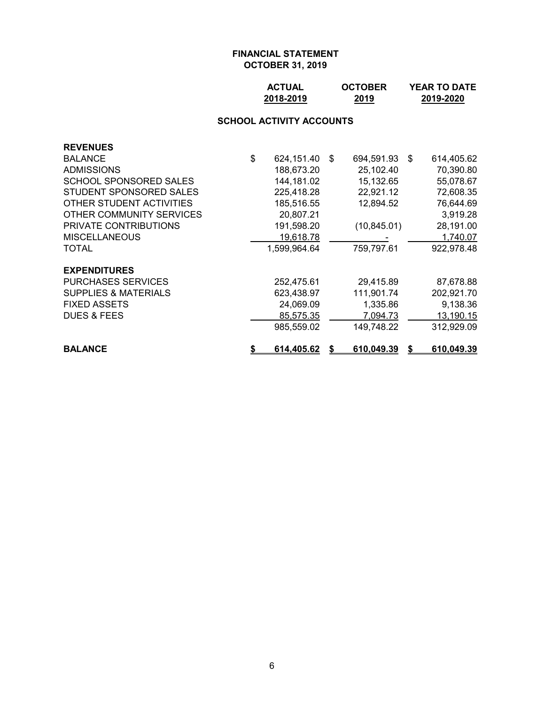| <b>ACTUAL</b> | <b>OCTOBER</b> | <b>YEAR TO DATE</b> |
|---------------|----------------|---------------------|
| 2018-2019     | 2019           | 2019-2020           |

## **SCHOOL ACTIVITY ACCOUNTS**

| <b>REVENUES</b>                 |                  |    |              |    |                   |
|---------------------------------|------------------|----|--------------|----|-------------------|
| <b>BALANCE</b>                  | \$<br>624,151.40 | -S | 694,591.93   | -S | 614,405.62        |
| <b>ADMISSIONS</b>               | 188,673.20       |    | 25,102.40    |    | 70,390.80         |
| SCHOOL SPONSORED SALES          | 144,181.02       |    | 15,132.65    |    | 55,078.67         |
| STUDENT SPONSORED SALES         | 225,418.28       |    | 22,921.12    |    | 72,608.35         |
| OTHER STUDENT ACTIVITIES        | 185,516.55       |    | 12,894.52    |    | 76,644.69         |
| OTHER COMMUNITY SERVICES        | 20,807.21        |    |              |    | 3,919.28          |
| PRIVATE CONTRIBUTIONS           | 191,598.20       |    | (10, 845.01) |    | 28,191.00         |
| <b>MISCELLANEOUS</b>            | 19,618.78        |    |              |    | 1,740.07          |
| TOTAL                           | 1,599,964.64     |    | 759,797.61   |    | 922,978.48        |
| <b>EXPENDITURES</b>             |                  |    |              |    |                   |
| <b>PURCHASES SERVICES</b>       | 252,475.61       |    | 29,415.89    |    | 87,678.88         |
| <b>SUPPLIES &amp; MATERIALS</b> | 623,438.97       |    | 111,901.74   |    | 202,921.70        |
| <b>FIXED ASSETS</b>             | 24,069.09        |    | 1,335.86     |    | 9,138.36          |
| <b>DUES &amp; FEES</b>          | 85,575.35        |    | 7,094.73     |    | 13,190.15         |
|                                 | 985,559.02       |    | 149,748.22   |    | 312,929.09        |
| <b>BALANCE</b>                  | \$<br>614,405.62 | S  | 610,049.39   | S. | <u>610,049.39</u> |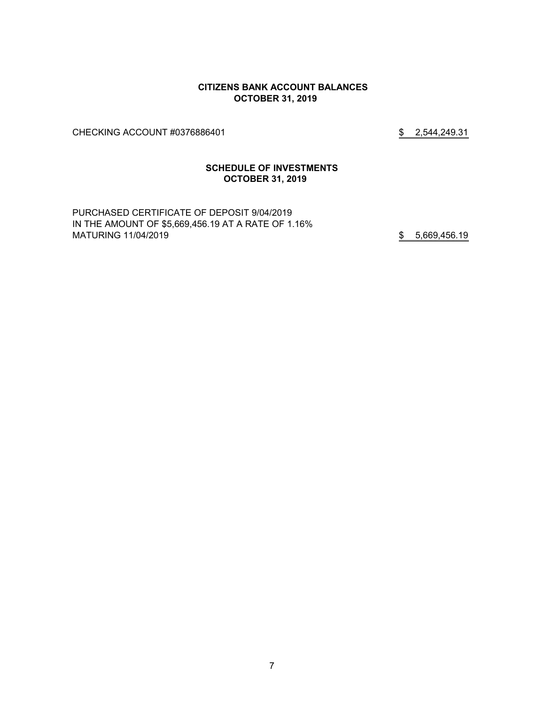#### **CITIZENS BANK ACCOUNT BALANCES OCTOBER 31, 2019**

CHECKING ACCOUNT #0376886401 \$2,544,249.31

#### **SCHEDULE OF INVESTMENTS OCTOBER 31, 2019**

PURCHASED CERTIFICATE OF DEPOSIT 9/04/2019 IN THE AMOUNT OF \$5,669,456.19 AT A RATE OF 1.16% MATURING 11/04/2019 **12/04/2019** 5,669,456.19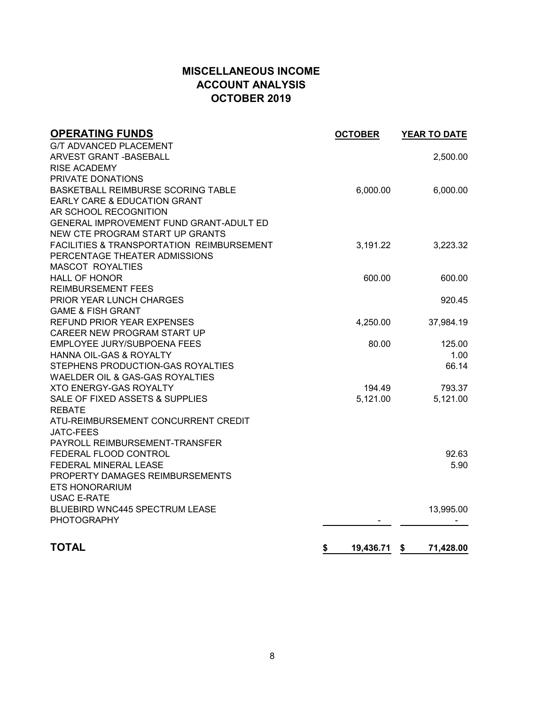# **MISCELLANEOUS INCOME ACCOUNT ANALYSIS OCTOBER 2019**

| <b>OPERATING FUNDS</b>                    | <b>OCTOBER</b>  | YEAR TO DATE    |
|-------------------------------------------|-----------------|-----------------|
| <b>G/T ADVANCED PLACEMENT</b>             |                 |                 |
| <b>ARVEST GRANT - BASEBALL</b>            |                 | 2,500.00        |
| <b>RISE ACADEMY</b>                       |                 |                 |
| PRIVATE DONATIONS                         |                 |                 |
| BASKETBALL REIMBURSE SCORING TABLE        | 6,000.00        | 6,000.00        |
| <b>EARLY CARE &amp; EDUCATION GRANT</b>   |                 |                 |
| AR SCHOOL RECOGNITION                     |                 |                 |
| GENERAL IMPROVEMENT FUND GRANT-ADULT ED   |                 |                 |
| NEW CTE PROGRAM START UP GRANTS           |                 |                 |
| FACILITIES & TRANSPORTATION REIMBURSEMENT | 3,191.22        | 3,223.32        |
| PERCENTAGE THEATER ADMISSIONS             |                 |                 |
| <b>MASCOT ROYALTIES</b>                   |                 |                 |
| <b>HALL OF HONOR</b>                      | 600.00          | 600.00          |
| <b>REIMBURSEMENT FEES</b>                 |                 |                 |
| PRIOR YEAR LUNCH CHARGES                  |                 | 920.45          |
| <b>GAME &amp; FISH GRANT</b>              |                 |                 |
| <b>REFUND PRIOR YEAR EXPENSES</b>         | 4,250.00        | 37,984.19       |
| CAREER NEW PROGRAM START UP               |                 |                 |
| EMPLOYEE JURY/SUBPOENA FEES               | 80.00           | 125.00          |
| <b>HANNA OIL-GAS &amp; ROYALTY</b>        |                 | 1.00            |
| STEPHENS PRODUCTION-GAS ROYALTIES         |                 | 66.14           |
| WAELDER OIL & GAS-GAS ROYALTIES           |                 |                 |
| <b>XTO ENERGY-GAS ROYALTY</b>             | 194.49          | 793.37          |
| SALE OF FIXED ASSETS & SUPPLIES           | 5,121.00        | 5,121.00        |
| <b>REBATE</b>                             |                 |                 |
| ATU-REIMBURSEMENT CONCURRENT CREDIT       |                 |                 |
| <b>JATC-FEES</b>                          |                 |                 |
| PAYROLL REIMBURSEMENT-TRANSFER            |                 |                 |
| FEDERAL FLOOD CONTROL                     |                 | 92.63           |
| FEDERAL MINERAL LEASE                     |                 | 5.90            |
| PROPERTY DAMAGES REIMBURSEMENTS           |                 |                 |
| <b>ETS HONORARIUM</b>                     |                 |                 |
| <b>USAC E-RATE</b>                        |                 |                 |
| <b>BLUEBIRD WNC445 SPECTRUM LEASE</b>     |                 | 13,995.00       |
| <b>PHOTOGRAPHY</b>                        |                 |                 |
|                                           |                 |                 |
| <b>TOTAL</b>                              | \$<br>19,436.71 | 71,428.00<br>\$ |